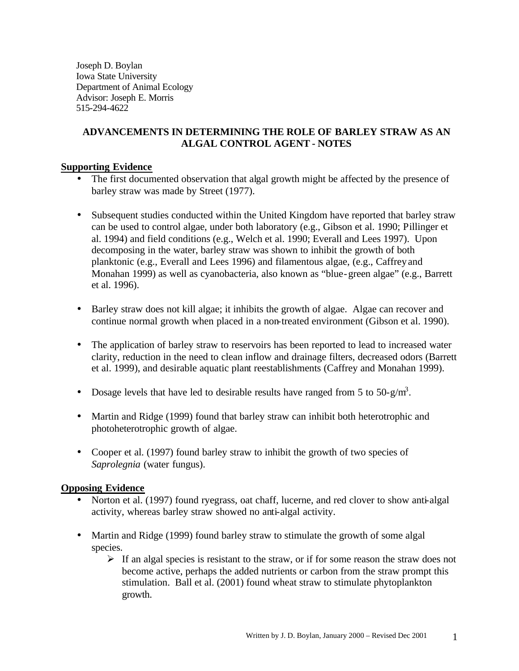Joseph D. Boylan Iowa State University Department of Animal Ecology Advisor: Joseph E. Morris 515-294-4622

# **ADVANCEMENTS IN DETERMINING THE ROLE OF BARLEY STRAW AS AN ALGAL CONTROL AGENT - NOTES**

#### **Supporting Evidence**

- The first documented observation that algal growth might be affected by the presence of barley straw was made by Street (1977).
- Subsequent studies conducted within the United Kingdom have reported that barley straw can be used to control algae, under both laboratory (e.g., Gibson et al. 1990; Pillinger et al. 1994) and field conditions (e.g., Welch et al. 1990; Everall and Lees 1997). Upon decomposing in the water, barley straw was shown to inhibit the growth of both planktonic (e.g., Everall and Lees 1996) and filamentous algae, (e.g., Caffrey and Monahan 1999) as well as cyanobacteria, also known as "blue-green algae" (e.g., Barrett et al. 1996).
- Barley straw does not kill algae; it inhibits the growth of algae. Algae can recover and continue normal growth when placed in a non-treated environment (Gibson et al. 1990).
- The application of barley straw to reservoirs has been reported to lead to increased water clarity, reduction in the need to clean inflow and drainage filters, decreased odors (Barrett et al. 1999), and desirable aquatic plant reestablishments (Caffrey and Monahan 1999).
- Dosage levels that have led to desirable results have ranged from 5 to 50-g/m<sup>3</sup>.
- Martin and Ridge (1999) found that barley straw can inhibit both heterotrophic and photoheterotrophic growth of algae.
- Cooper et al. (1997) found barley straw to inhibit the growth of two species of *Saprolegnia* (water fungus).

# **Opposing Evidence**

- Norton et al. (1997) found ryegrass, oat chaff, lucerne, and red clover to show anti-algal activity, whereas barley straw showed no anti-algal activity.
- Martin and Ridge (1999) found barley straw to stimulate the growth of some algal species.
	- $\triangleright$  If an algal species is resistant to the straw, or if for some reason the straw does not become active, perhaps the added nutrients or carbon from the straw prompt this stimulation. Ball et al. (2001) found wheat straw to stimulate phytoplankton growth.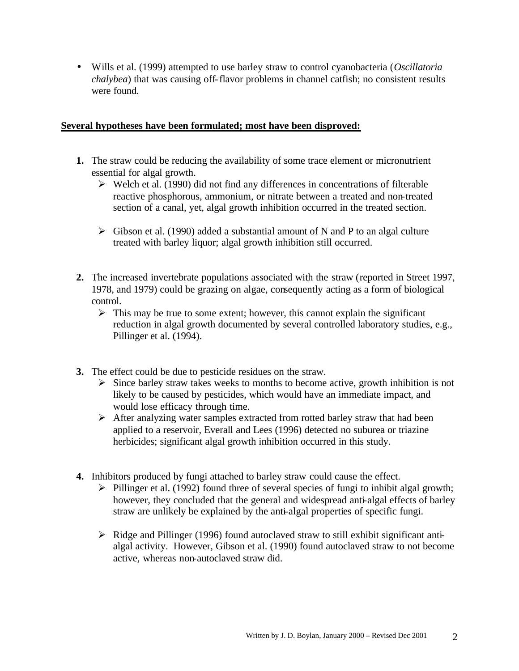• Wills et al. (1999) attempted to use barley straw to control cyanobacteria (*Oscillatoria chalybea*) that was causing off-flavor problems in channel catfish; no consistent results were found.

#### **Several hypotheses have been formulated; most have been disproved:**

- **1.** The straw could be reducing the availability of some trace element or micronutrient essential for algal growth.
	- $\triangleright$  Welch et al. (1990) did not find any differences in concentrations of filterable reactive phosphorous, ammonium, or nitrate between a treated and non-treated section of a canal, yet, algal growth inhibition occurred in the treated section.
	- $\triangleright$  Gibson et al. (1990) added a substantial amount of N and P to an algal culture treated with barley liquor; algal growth inhibition still occurred.
- **2.** The increased invertebrate populations associated with the straw (reported in Street 1997, 1978, and 1979) could be grazing on algae, consequently acting as a form of biological control.
	- $\triangleright$  This may be true to some extent; however, this cannot explain the significant reduction in algal growth documented by several controlled laboratory studies, e.g., Pillinger et al. (1994).
- **3.** The effect could be due to pesticide residues on the straw.
	- $\triangleright$  Since barley straw takes weeks to months to become active, growth inhibition is not likely to be caused by pesticides, which would have an immediate impact, and would lose efficacy through time.
	- $\triangleright$  After analyzing water samples extracted from rotted barley straw that had been applied to a reservoir, Everall and Lees (1996) detected no suburea or triazine herbicides; significant algal growth inhibition occurred in this study.
- **4.** Inhibitors produced by fungi attached to barley straw could cause the effect.
	- $\triangleright$  Pillinger et al. (1992) found three of several species of fungi to inhibit algal growth; however, they concluded that the general and widespread anti-algal effects of barley straw are unlikely be explained by the anti-algal properties of specific fungi.
	- $\triangleright$  Ridge and Pillinger (1996) found autoclaved straw to still exhibit significant antialgal activity. However, Gibson et al. (1990) found autoclaved straw to not become active, whereas non-autoclaved straw did.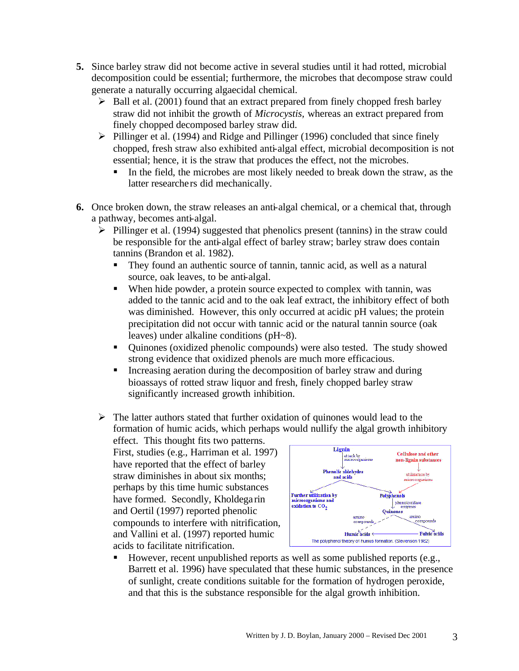- **5.** Since barley straw did not become active in several studies until it had rotted, microbial decomposition could be essential; furthermore, the microbes that decompose straw could generate a naturally occurring algaecidal chemical.
	- $\triangleright$  Ball et al. (2001) found that an extract prepared from finely chopped fresh barley straw did not inhibit the growth of *Microcystis,* whereas an extract prepared from finely chopped decomposed barley straw did*.*
	- $\triangleright$  Pillinger et al. (1994) and Ridge and Pillinger (1996) concluded that since finely chopped, fresh straw also exhibited anti-algal effect, microbial decomposition is not essential; hence, it is the straw that produces the effect, not the microbes.
		- In the field, the microbes are most likely needed to break down the straw, as the latter researche rs did mechanically.
- **6.** Once broken down, the straw releases an anti-algal chemical, or a chemical that, through a pathway, becomes anti-algal.
	- $\triangleright$  Pillinger et al. (1994) suggested that phenolics present (tannins) in the straw could be responsible for the anti-algal effect of barley straw; barley straw does contain tannins (Brandon et al. 1982).
		- They found an authentic source of tannin, tannic acid, as well as a natural source, oak leaves, to be anti-algal.
		- When hide powder, a protein source expected to complex with tannin, was added to the tannic acid and to the oak leaf extract, the inhibitory effect of both was diminished. However, this only occurred at acidic pH values; the protein precipitation did not occur with tannic acid or the natural tannin source (oak leaves) under alkaline conditions (pH~8).
		- ß Quinones (oxidized phenolic compounds) were also tested. The study showed strong evidence that oxidized phenols are much more efficacious.
		- **Increasing aeration during the decomposition of barley straw and during** bioassays of rotted straw liquor and fresh, finely chopped barley straw significantly increased growth inhibition.
	- $\triangleright$  The latter authors stated that further oxidation of quinones would lead to the formation of humic acids, which perhaps would nullify the algal growth inhibitory

effect. This thought fits two patterns. First, studies (e.g., Harriman et al. 1997) have reported that the effect of barley straw diminishes in about six months; perhaps by this time humic substances have formed. Secondly, Kholdega rin and Oertil (1997) reported phenolic compounds to interfere with nitrification, and Vallini et al. (1997) reported humic acids to facilitate nitrification.



However, recent unpublished reports as well as some published reports (e.g., Barrett et al. 1996) have speculated that these humic substances, in the presence of sunlight, create conditions suitable for the formation of hydrogen peroxide, and that this is the substance responsible for the algal growth inhibition.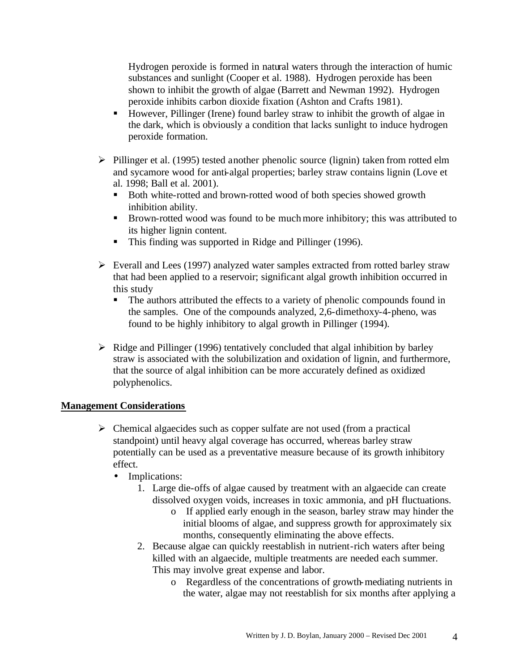Hydrogen peroxide is formed in natural waters through the interaction of humic substances and sunlight (Cooper et al. 1988). Hydrogen peroxide has been shown to inhibit the growth of algae (Barrett and Newman 1992). Hydrogen peroxide inhibits carbon dioxide fixation (Ashton and Crafts 1981).

- ß However, Pillinger (Irene) found barley straw to inhibit the growth of algae in the dark, which is obviously a condition that lacks sunlight to induce hydrogen peroxide formation.
- $\triangleright$  Pillinger et al. (1995) tested another phenolic source (lignin) taken from rotted elm and sycamore wood for anti-algal properties; barley straw contains lignin (Love et al. 1998; Ball et al. 2001).
	- Both white-rotted and brown-rotted wood of both species showed growth inhibition ability.
	- **Brown-rotted wood was found to be much more inhibitory; this was attributed to** its higher lignin content.
	- This finding was supported in Ridge and Pillinger (1996).
- $\triangleright$  Everall and Lees (1997) analyzed water samples extracted from rotted barley straw that had been applied to a reservoir; significant algal growth inhibition occurred in this study
	- The authors attributed the effects to a variety of phenolic compounds found in the samples. One of the compounds analyzed, 2,6-dimethoxy-4-pheno, was found to be highly inhibitory to algal growth in Pillinger (1994).
- $\triangleright$  Ridge and Pillinger (1996) tentatively concluded that algal inhibition by barley straw is associated with the solubilization and oxidation of lignin, and furthermore, that the source of algal inhibition can be more accurately defined as oxidized polyphenolics.

# **Management Considerations**

- $\triangleright$  Chemical algaecides such as copper sulfate are not used (from a practical standpoint) until heavy algal coverage has occurred, whereas barley straw potentially can be used as a preventative measure because of its growth inhibitory effect.
	- Implications:
		- 1. Large die-offs of algae caused by treatment with an algaecide can create dissolved oxygen voids, increases in toxic ammonia, and pH fluctuations.
			- o If applied early enough in the season, barley straw may hinder the initial blooms of algae, and suppress growth for approximately six months, consequently eliminating the above effects.
		- 2. Because algae can quickly reestablish in nutrient-rich waters after being killed with an algaecide, multiple treatments are needed each summer. This may involve great expense and labor.
			- o Regardless of the concentrations of growth-mediating nutrients in the water, algae may not reestablish for six months after applying a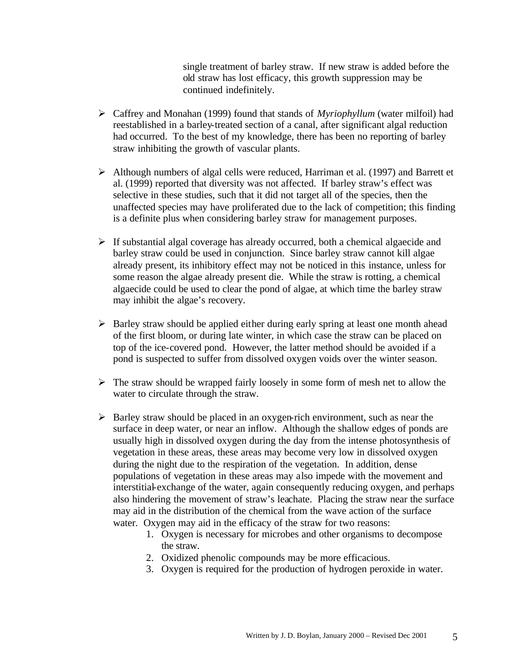single treatment of barley straw. If new straw is added before the old straw has lost efficacy, this growth suppression may be continued indefinitely.

- ÿ Caffrey and Monahan (1999) found that stands of *Myriophyllum* (water milfoil) had reestablished in a barley-treated section of a canal, after significant algal reduction had occurred. To the best of my knowledge, there has been no reporting of barley straw inhibiting the growth of vascular plants.
- $\triangleright$  Although numbers of algal cells were reduced, Harriman et al. (1997) and Barrett et al. (1999) reported that diversity was not affected. If barley straw's effect was selective in these studies, such that it did not target all of the species, then the unaffected species may have proliferated due to the lack of competition; this finding is a definite plus when considering barley straw for management purposes.
- $\triangleright$  If substantial algal coverage has already occurred, both a chemical algaecide and barley straw could be used in conjunction. Since barley straw cannot kill algae already present, its inhibitory effect may not be noticed in this instance, unless for some reason the algae already present die. While the straw is rotting, a chemical algaecide could be used to clear the pond of algae, at which time the barley straw may inhibit the algae's recovery.
- $\triangleright$  Barley straw should be applied either during early spring at least one month ahead of the first bloom, or during late winter, in which case the straw can be placed on top of the ice-covered pond. However, the latter method should be avoided if a pond is suspected to suffer from dissolved oxygen voids over the winter season.
- $\triangleright$  The straw should be wrapped fairly loosely in some form of mesh net to allow the water to circulate through the straw.
- $\triangleright$  Barley straw should be placed in an oxygen-rich environment, such as near the surface in deep water, or near an inflow. Although the shallow edges of ponds are usually high in dissolved oxygen during the day from the intense photosynthesis of vegetation in these areas, these areas may become very low in dissolved oxygen during the night due to the respiration of the vegetation. In addition, dense populations of vegetation in these areas may also impede with the movement and interstitial-exchange of the water, again consequently reducing oxygen, and perhaps also hindering the movement of straw's leachate. Placing the straw near the surface may aid in the distribution of the chemical from the wave action of the surface water. Oxygen may aid in the efficacy of the straw for two reasons:
	- 1. Oxygen is necessary for microbes and other organisms to decompose the straw.
	- 2. Oxidized phenolic compounds may be more efficacious.
	- 3. Oxygen is required for the production of hydrogen peroxide in water.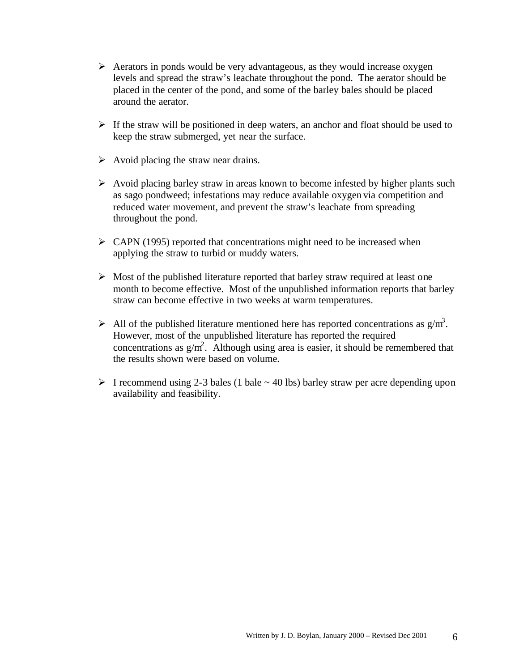- $\triangleright$  Aerators in ponds would be very advantageous, as they would increase oxygen levels and spread the straw's leachate throughout the pond. The aerator should be placed in the center of the pond, and some of the barley bales should be placed around the aerator.
- $\triangleright$  If the straw will be positioned in deep waters, an anchor and float should be used to keep the straw submerged, yet near the surface.
- $\triangleright$  Avoid placing the straw near drains.
- $\triangleright$  Avoid placing barley straw in areas known to become infested by higher plants such as sago pondweed; infestations may reduce available oxygen via competition and reduced water movement, and prevent the straw's leachate from spreading throughout the pond.
- $\triangleright$  CAPN (1995) reported that concentrations might need to be increased when applying the straw to turbid or muddy waters.
- $\triangleright$  Most of the published literature reported that barley straw required at least one month to become effective. Most of the unpublished information reports that barley straw can become effective in two weeks at warm temperatures.
- All of the published literature mentioned here has reported concentrations as  $g/m<sup>3</sup>$ . However, most of the unpublished literature has reported the required concentrations as  $g/m^2$ . Although using area is easier, it should be remembered that the results shown were based on volume.
- $\triangleright$  I recommend using 2-3 bales (1 bale  $\sim$  40 lbs) barley straw per acre depending upon availability and feasibility.